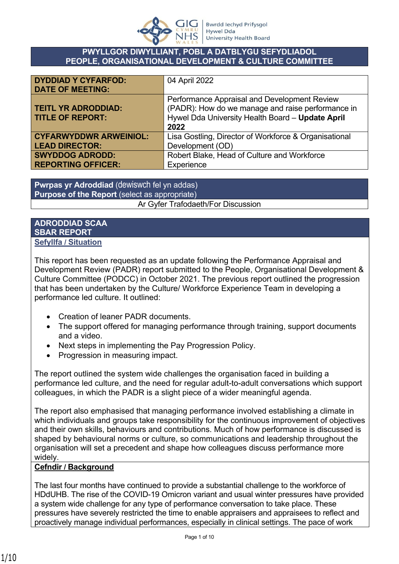

#### **PWYLLGOR DIWYLLIANT, POBL A DATBLYGU SEFYDLIADOL PEOPLE, ORGANISATIONAL DEVELOPMENT & CULTURE COMMITTEE**

| <b>DYDDIAD Y CYFARFOD:</b>    | 04 April 2022                                         |
|-------------------------------|-------------------------------------------------------|
| <b>DATE OF MEETING:</b>       |                                                       |
|                               | Performance Appraisal and Development Review          |
| <b>TEITL YR ADRODDIAD:</b>    | (PADR): How do we manage and raise performance in     |
| <b>TITLE OF REPORT:</b>       | Hywel Dda University Health Board - Update April      |
|                               | 2022                                                  |
| <b>CYFARWYDDWR ARWEINIOL:</b> | Lisa Gostling, Director of Workforce & Organisational |
| <b>LEAD DIRECTOR:</b>         | Development (OD)                                      |
| <b>SWYDDOG ADRODD:</b>        | Robert Blake, Head of Culture and Workforce           |
| <b>REPORTING OFFICER:</b>     | Experience                                            |

**Pwrpas yr Adroddiad** (dewiswch fel yn addas) **Purpose of the Report** (select as appropriate) Ar Gyfer Trafodaeth/For Discussion

#### **ADRODDIAD SCAA SBAR REPORT Sefyllfa / Situation**

This report has been requested as an update following the Performance Appraisal and Development Review (PADR) report submitted to the People, Organisational Development & Culture Committee (PODCC) in October 2021. The previous report outlined the progression that has been undertaken by the Culture/ Workforce Experience Team in developing a performance led culture. It outlined:

- Creation of leaner PADR documents.
- The support offered for managing performance through training, support documents and a video.
- Next steps in implementing the Pay Progression Policy.
- Progression in measuring impact.

The report outlined the system wide challenges the organisation faced in building a performance led culture, and the need for regular adult-to-adult conversations which support colleagues, in which the PADR is a slight piece of a wider meaningful agenda.

The report also emphasised that managing performance involved establishing a climate in which individuals and groups take responsibility for the continuous improvement of objectives and their own skills, behaviours and contributions. Much of how performance is discussed is shaped by behavioural norms or culture, so communications and leadership throughout the organisation will set a precedent and shape how colleagues discuss performance more widely.

### **Cefndir / Background**

The last four months have continued to provide a substantial challenge to the workforce of HDdUHB. The rise of the COVID-19 Omicron variant and usual winter pressures have provided a system wide challenge for any type of performance conversation to take place. These pressures have severely restricted the time to enable appraisers and appraisees to reflect and proactively manage individual performances, especially in clinical settings. The pace of work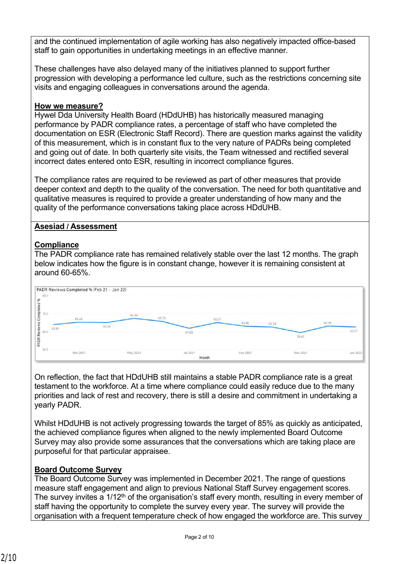and the continued implementation of agile working has also negatively impacted office-based staff to gain opportunities in undertaking meetings in an effective manner.

These challenges have also delayed many of the initiatives planned to support further progression with developing a performance led culture, such as the restrictions concerning site visits and engaging colleagues in conversations around the agenda.

### **How we measure?**

Hywel Dda University Health Board (HDdUHB) has historically measured managing performance by PADR compliance rates, a percentage of staff who have completed the documentation on ESR (Electronic Staff Record). There are question marks against the validity of this measurement, which is in constant flux to the very nature of PADRs being completed and going out of date. In both quarterly site visits, the Team witnessed and rectified several incorrect dates entered onto ESR, resulting in incorrect compliance figures.

The compliance rates are required to be reviewed as part of other measures that provide deeper context and depth to the quality of the conversation. The need for both quantitative and qualitative measures is required to provide a greater understanding of how many and the quality of the performance conversations taking place across HDdUHB.

#### **Asesiad / Assessment**

### **Compliance**

The PADR compliance rate has remained relatively stable over the last 12 months. The graph below indicates how the figure is in constant change, however it is remaining consistent at around 60-65%.

| 67.36    |          | 65.07                                                       |          |                     |
|----------|----------|-------------------------------------------------------------|----------|---------------------|
|          |          |                                                             |          | 63.08               |
|          |          |                                                             | 59.42    |                     |
| May 2021 | Jul 2021 | Sep 2021                                                    | Nov 2021 | <b></b><br>Jan 2022 |
|          | 65.04    | 65.71<br>61.83<br>--------------------------------<br>Month | 62.96    | 62.53               |

On reflection, the fact that HDdUHB still maintains a stable PADR compliance rate is a great testament to the workforce. At a time where compliance could easily reduce due to the many priorities and lack of rest and recovery, there is still a desire and commitment in undertaking a yearly PADR.

Whilst HDdUHB is not actively progressing towards the target of 85% as quickly as anticipated, the achieved compliance figures when aligned to the newly implemented Board Outcome Survey may also provide some assurances that the conversations which are taking place are purposeful for that particular appraisee.

### **Board Outcome Survey**

The Board Outcome Survey was implemented in December 2021. The range of questions measure staff engagement and align to previous National Staff Survey engagement scores. The survey invites a  $1/12<sup>th</sup>$  of the organisation's staff every month, resulting in every member of staff having the opportunity to complete the survey every year. The survey will provide the organisation with a frequent temperature check of how engaged the workforce are. This survey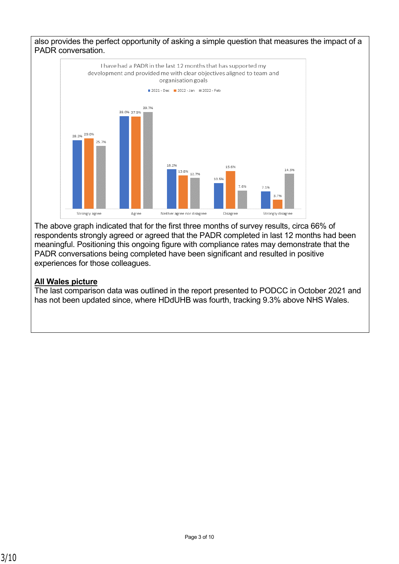



The above graph indicated that for the first three months of survey results, circa 66% of respondents strongly agreed or agreed that the PADR completed in last 12 months had been meaningful. Positioning this ongoing figure with compliance rates may demonstrate that the PADR conversations being completed have been significant and resulted in positive experiences for those colleagues.

### **All Wales picture**

The last comparison data was outlined in the report presented to PODCC in October 2021 and has not been updated since, where HDdUHB was fourth, tracking 9.3% above NHS Wales.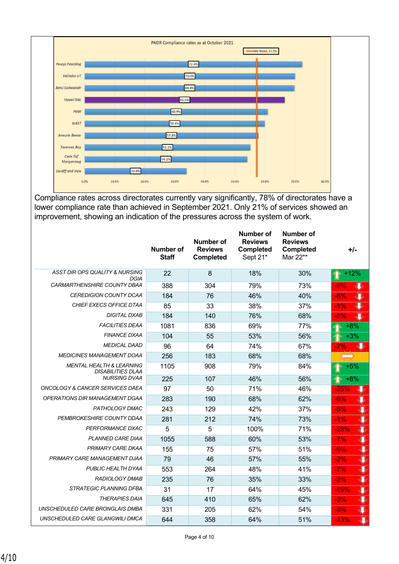

Compliance rates across directorates currently vary significantly, 78% of directorates have a lower compliance rate than achieved in September 2021. Only 21% of services showed an improvement, showing an indication of the pressures across the system of work.

|                                                                 | <b>Number of</b><br><b>Staff</b> | Number of<br><b>Reviews</b><br><b>Completed</b> | <b>Number of</b><br><b>Reviews</b><br><b>Completed</b><br>Sept 21* | <b>Number of</b><br><b>Reviews</b><br><b>Completed</b><br>Mar 22** | +/-                               |
|-----------------------------------------------------------------|----------------------------------|-------------------------------------------------|--------------------------------------------------------------------|--------------------------------------------------------------------|-----------------------------------|
| ASST DIR OPS QUALITY & NURSING<br><b>DGIA</b>                   | 22                               | 8                                               | 18%                                                                | 30%                                                                | $+12%$                            |
| CARMARTHENSHIRE COUNTY DBAA                                     | 388                              | 304                                             | 79%                                                                | 73%                                                                | $-6%$                             |
| <b>CEREDIGION COUNTY DCAA</b>                                   | 184                              | 76                                              | 46%                                                                | 40%                                                                | $-6%$                             |
| CHIEF EXECS OFFICE DTAA                                         | 85                               | 33                                              | 38%                                                                | 37%                                                                | $-1%$                             |
| <b>DIGITAL DXAB</b>                                             | 184                              | 140                                             | 76%                                                                | 68%                                                                | $-8%$                             |
| <b>FACILITIES DEAA</b>                                          | 1081                             | 836                                             | 69%                                                                | 77%                                                                | $+8%$                             |
| <b>FINANCE DXAA</b>                                             | 104                              | 55                                              | 53%                                                                | 56%                                                                | $+3%$                             |
| <b>MEDICAL DAAD</b>                                             | 96                               | 64                                              | 74%                                                                | 67%                                                                | $-7%$                             |
| <b>MEDICINES MANAGEMENT DOAA</b>                                | 256                              | 183                                             | 68%                                                                | 68%                                                                |                                   |
| <b>MENTAL HEALTH &amp; LEARNING</b><br><b>DISABILITIES DLAA</b> | 1105                             | 908                                             | 79%                                                                | 84%                                                                | $+5%$                             |
| <b>NURSING DVAA</b>                                             | 225                              | 107                                             | 46%                                                                | 56%                                                                | $+8%$                             |
| ONCOLOGY & CANCER SERVICES DAEA                                 | 97                               | 50                                              | 71%                                                                | 46%                                                                | $-25%$                            |
| OPERATIONS DIR MANAGEMENT DGAA                                  | 283                              | 190                                             | 68%                                                                | 62%                                                                | $-6%$                             |
| PATHOLOGY DMAC                                                  | 243                              | 129                                             | 42%                                                                | 37%                                                                | $\overline{\mathbf{U}}$<br>$-5%$  |
| PEMBROKESHIRE COUNTY DDAA                                       | 281                              | 212                                             | 74%                                                                | 73%                                                                | $\overline{\textbf{J}}$<br>$-1%$  |
| PERFORMANCE DXAC                                                | 5                                | 5                                               | 100%                                                               | 71%                                                                | $\overline{\textbf{U}}$<br>$-29%$ |
| PLANNED CARE DIAA                                               | 1055                             | 588                                             | 60%                                                                | 53%                                                                | $\overline{\textbf{U}}$<br>$-7%$  |
| PRIMARY CARE DKAA                                               | 155                              | 75                                              | 57%                                                                | 51%                                                                | $\overline{\textbf{U}}$<br>$-6%$  |
| PRIMARY CARE MANAGEMENT DJAA                                    | 79                               | 46                                              | 57%                                                                | 55%                                                                | $\overline{\mathbf{U}}$<br>$-2%$  |
| PUBLIC HEALTH DYAA                                              | 553                              | 264                                             | 48%                                                                | 41%                                                                | IJ<br>$-7%$                       |
| <b>RADIOLOGY DMAB</b>                                           | 235                              | 76                                              | 35%                                                                | 33%                                                                | $\overline{\mathbf{U}}$<br>$-2%$  |
| <b>STRATEGIC PLANNING DFBA</b>                                  | 31                               | 17                                              | 64%                                                                | 45%                                                                | J<br>$-19%$                       |
| <b>THERAPIES DAIA</b>                                           | 645                              | 410                                             | 65%                                                                | 62%                                                                | $\overline{\mathbf{U}}$<br>$-3%$  |
| UNSCHEDULED CARE BRONGLAIS DMBA                                 | 331                              | 205                                             | 62%                                                                | 54%                                                                | J<br>$-8%$                        |
| UNSCHEDULED CARE GLANGWILI DMCA                                 | 644                              | 358                                             | 64%                                                                | 51%                                                                | $\bf{J}$<br>$-13%$                |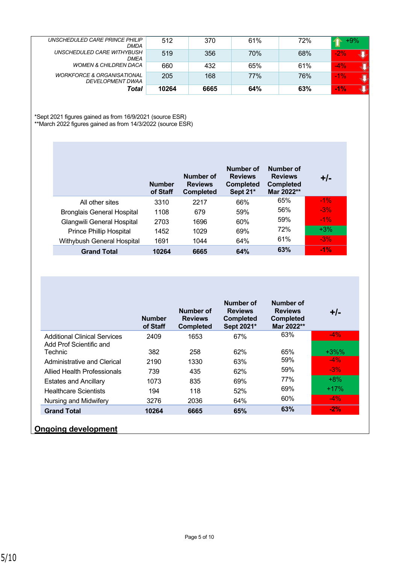| UNSCHEDULED CARE PRINCE PHILIP<br><b>DMDA</b>             | 512   | 370  | 61% | 72% | $+9%$  |
|-----------------------------------------------------------|-------|------|-----|-----|--------|
| UNSCHEDULED CARE WITHYBUSH<br><b>DMEA</b>                 | 519   | 356  | 70% | 68% | $-2\%$ |
| <b>WOMEN &amp; CHILDREN DACA</b>                          | 660   | 432  | 65% | 61% | $-4%$  |
| <b>WORKFORCE &amp; ORGANISATIONAL</b><br>DEVELOPMENT DWAA | 205   | 168  | 77% | 76% | $-1\%$ |
| Total                                                     | 10264 | 6665 | 64% | 63% | $-1%$  |

\*Sept 2021 figures gained as from 16/9/2021 (source ESR) \*\*March 2022 figures gained as from 14/3/2022 (source ESR)

|                                   | <b>Number</b><br>of Staff | Number of<br><b>Reviews</b><br><b>Completed</b> | Number of<br><b>Reviews</b><br><b>Completed</b><br>Sept 21* | Number of<br><b>Reviews</b><br><b>Completed</b><br>Mar 2022** | $+/-$  |
|-----------------------------------|---------------------------|-------------------------------------------------|-------------------------------------------------------------|---------------------------------------------------------------|--------|
| All other sites                   | 3310                      | 2217                                            | 66%                                                         | 65%                                                           | $-1\%$ |
| <b>Bronglais General Hospital</b> | 1108                      | 679                                             | 59%                                                         | 56%                                                           | $-3%$  |
| Glangwili General Hospital        | 2703                      | 1696                                            | 60%                                                         | 59%                                                           | $-1\%$ |
| <b>Prince Phillip Hospital</b>    | 1452                      | 1029                                            | 69%                                                         | 72%                                                           | $+3%$  |
| Withybush General Hospital        | 1691                      | 1044                                            | 64%                                                         | 61%                                                           | $-3%$  |
| <b>Grand Total</b>                | 10264                     | 6665                                            | 64%                                                         | 63%                                                           | $-1\%$ |

|                                                                | <b>Number</b><br>of Staff | Number of<br><b>Reviews</b><br><b>Completed</b> | Number of<br><b>Reviews</b><br><b>Completed</b><br>Sept 2021* | Number of<br><b>Reviews</b><br><b>Completed</b><br>Mar 2022** | $+/-$   |
|----------------------------------------------------------------|---------------------------|-------------------------------------------------|---------------------------------------------------------------|---------------------------------------------------------------|---------|
| <b>Additional Clinical Services</b><br>Add Prof Scientific and | 2409                      | 1653                                            | 67%                                                           | 63%                                                           | $-4\%$  |
| Technic                                                        | 382                       | 258                                             | 62%                                                           | 65%                                                           | $+3\%%$ |
| Administrative and Clerical                                    | 2190                      | 1330                                            | 63%                                                           | 59%                                                           | $-4\%$  |
| Allied Health Professionals                                    | 739                       | 435                                             | 62%                                                           | 59%                                                           | $-3%$   |
| <b>Estates and Ancillary</b>                                   | 1073                      | 835                                             | 69%                                                           | 77%                                                           | $+8%$   |
| <b>Healthcare Scientists</b>                                   | 194                       | 118                                             | 52%                                                           | 69%                                                           | $+17%$  |
| Nursing and Midwifery                                          | 3276                      | 2036                                            | 64%                                                           | 60%                                                           | $-4\%$  |
| <b>Grand Total</b>                                             | 10264                     | 6665                                            | 65%                                                           | 63%                                                           | $-2%$   |

## **Ongoing development**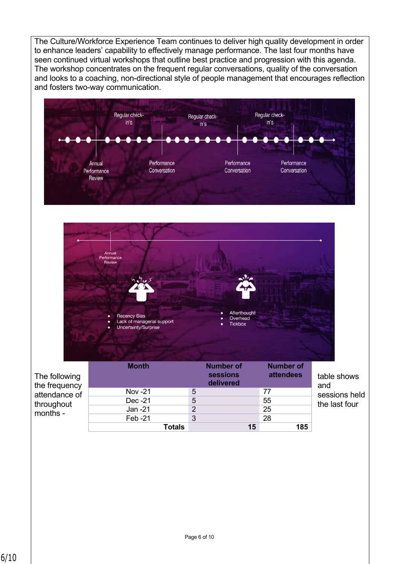The Culture/Workforce Experience Team continues to deliver high quality development in order to enhance leaders' capability to effectively manage performance. The last four months have seen continued virtual workshops that outline best practice and progression with this agenda. The workshop concentrates on the frequent regular conversations, quality of the conversation and looks to a coaching, non-directional style of people management that encourages reflection and fosters two-way communication.

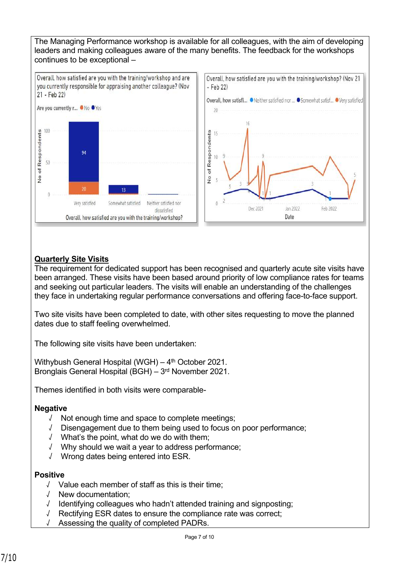The Managing Performance workshop is available for all colleagues, with the aim of developing leaders and making colleagues aware of the many benefits. The feedback for the workshops continues to be exceptional –



## **Quarterly Site Visits**

The requirement for dedicated support has been recognised and quarterly acute site visits have been arranged. These visits have been based around priority of low compliance rates for teams and seeking out particular leaders. The visits will enable an understanding of the challenges they face in undertaking regular performance conversations and offering face-to-face support.

Two site visits have been completed to date, with other sites requesting to move the planned dates due to staff feeling overwhelmed.

The following site visits have been undertaken:

Withybush General Hospital (WGH) –  $4<sup>th</sup>$  October 2021. Bronglais General Hospital (BGH) – 3<sup>rd</sup> November 2021.

Themes identified in both visits were comparable-

### **Negative**

- √ Not enough time and space to complete meetings;
- √ Disengagement due to them being used to focus on poor performance;
- √ What's the point, what do we do with them;
- √ Why should we wait a year to address performance;
- √ Wrong dates being entered into ESR.

### **Positive**

- √ Value each member of staff as this is their time;
- √ New documentation;
- √ Identifying colleagues who hadn't attended training and signposting;
- √ Rectifying ESR dates to ensure the compliance rate was correct;
- √ Assessing the quality of completed PADRs.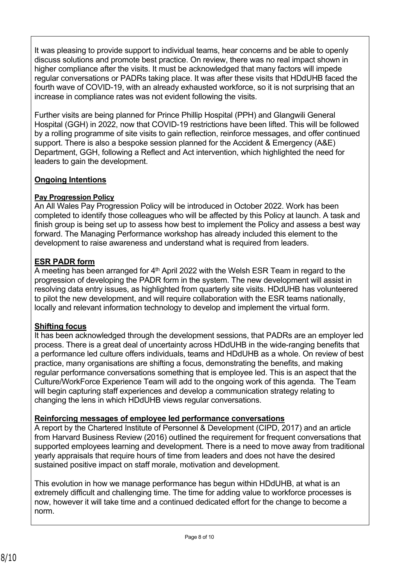It was pleasing to provide support to individual teams, hear concerns and be able to openly discuss solutions and promote best practice. On review, there was no real impact shown in higher compliance after the visits. It must be acknowledged that many factors will impede regular conversations or PADRs taking place. It was after these visits that HDdUHB faced the fourth wave of COVID-19, with an already exhausted workforce, so it is not surprising that an increase in compliance rates was not evident following the visits.

Further visits are being planned for Prince Phillip Hospital (PPH) and Glangwili General Hospital (GGH) in 2022, now that COVID-19 restrictions have been lifted. This will be followed by a rolling programme of site visits to gain reflection, reinforce messages, and offer continued support. There is also a bespoke session planned for the Accident & Emergency (A&E) Department, GGH, following a Reflect and Act intervention, which highlighted the need for leaders to gain the development.

# **Ongoing Intentions**

## **Pay Progression Policy**

An All Wales Pay Progression Policy will be introduced in October 2022. Work has been completed to identify those colleagues who will be affected by this Policy at launch. A task and finish group is being set up to assess how best to implement the Policy and assess a best way forward. The Managing Performance workshop has already included this element to the development to raise awareness and understand what is required from leaders.

# **ESR PADR form**

A meeting has been arranged for 4<sup>th</sup> April 2022 with the Welsh ESR Team in regard to the progression of developing the PADR form in the system. The new development will assist in resolving data entry issues, as highlighted from quarterly site visits. HDdUHB has volunteered to pilot the new development, and will require collaboration with the ESR teams nationally, locally and relevant information technology to develop and implement the virtual form.

# **Shifting focus**

It has been acknowledged through the development sessions, that PADRs are an employer led process. There is a great deal of uncertainty across HDdUHB in the wide-ranging benefits that a performance led culture offers individuals, teams and HDdUHB as a whole. On review of best practice, many organisations are shifting a focus, demonstrating the benefits, and making regular performance conversations something that is employee led. This is an aspect that the Culture/WorkForce Experience Team will add to the ongoing work of this agenda. The Team will begin capturing staff experiences and develop a communication strategy relating to changing the lens in which HDdUHB views regular conversations.

### **Reinforcing messages of employee led performance conversations**

A report by the Chartered Institute of Personnel & Development (CIPD, 2017) and an article from Harvard Business Review (2016) outlined the requirement for frequent conversations that supported employees learning and development. There is a need to move away from traditional yearly appraisals that require hours of time from leaders and does not have the desired sustained positive impact on staff morale, motivation and development.

This evolution in how we manage performance has begun within HDdUHB, at what is an extremely difficult and challenging time. The time for adding value to workforce processes is now, however it will take time and a continued dedicated effort for the change to become a norm.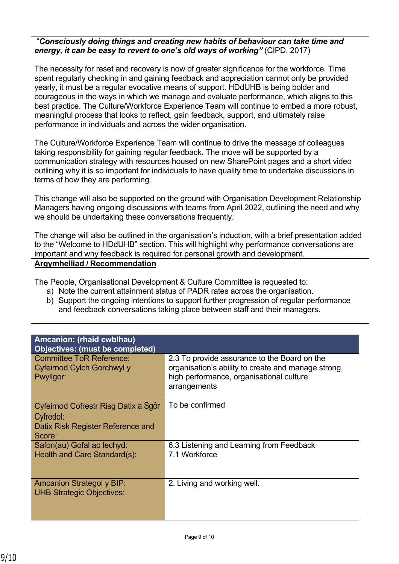### "*Consciously doing things and creating new habits of behaviour can take time and energy, it can be easy to revert to one's old ways of working"* (CIPD, 2017)

The necessity for reset and recovery is now of greater significance for the workforce. Time spent regularly checking in and gaining feedback and appreciation cannot only be provided yearly, it must be a regular evocative means of support. HDdUHB is being bolder and courageous in the ways in which we manage and evaluate performance, which aligns to this best practice. The Culture/Workforce Experience Team will continue to embed a more robust, meaningful process that looks to reflect, gain feedback, support, and ultimately raise performance in individuals and across the wider organisation.

The Culture/Workforce Experience Team will continue to drive the message of colleagues taking responsibility for gaining regular feedback. The move will be supported by a communication strategy with resources housed on new SharePoint pages and a short video outlining why it is so important for individuals to have quality time to undertake discussions in terms of how they are performing.

This change will also be supported on the ground with Organisation Development Relationship Managers having ongoing discussions with teams from April 2022, outlining the need and why we should be undertaking these conversations frequently.

The change will also be outlined in the organisation's induction, with a brief presentation added to the "Welcome to HDdUHB" section. This will highlight why performance conversations are important and why feedback is required for personal growth and development. **Argymhelliad / Recommendation**

The People, Organisational Development & Culture Committee is requested to:

- a) Note the current attainment status of PADR rates across the organisation.
- b) Support the ongoing intentions to support further progression of regular performance and feedback conversations taking place between staff and their managers.

| Amcanion: (rhaid cwblhau)<br><b>Objectives: (must be completed)</b>                              |                                                                                                                                                                 |
|--------------------------------------------------------------------------------------------------|-----------------------------------------------------------------------------------------------------------------------------------------------------------------|
| <b>Committee ToR Reference:</b><br>Cyfeirnod Cylch Gorchwyl y<br>Pwyllgor:                       | 2.3 To provide assurance to the Board on the<br>organisation's ability to create and manage strong,<br>high performance, organisational culture<br>arrangements |
| Cyfeirnod Cofrestr Risg Datix a Sgôr<br>Cyfredol:<br>Datix Risk Register Reference and<br>Score: | To be confirmed                                                                                                                                                 |
| Safon(au) Gofal ac lechyd:<br>Health and Care Standard(s):                                       | 6.3 Listening and Learning from Feedback<br>7.1 Workforce                                                                                                       |
| <b>Amcanion Strategol y BIP:</b><br><b>UHB Strategic Objectives:</b>                             | 2. Living and working well.                                                                                                                                     |